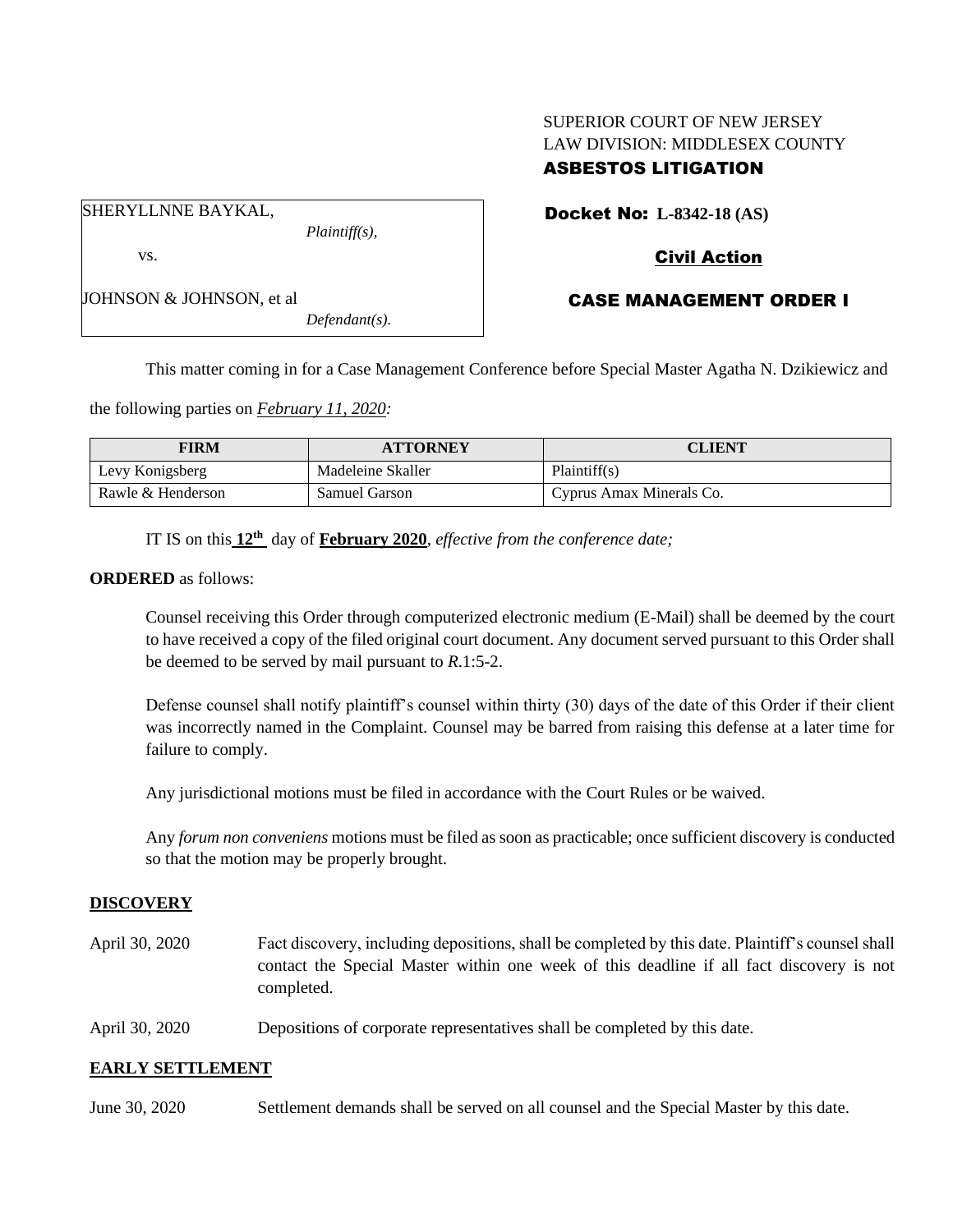# SUPERIOR COURT OF NEW JERSEY LAW DIVISION: MIDDLESEX COUNTY ASBESTOS LITIGATION

Docket No: **L-8342-18 (AS)**

SHERYLLNNE BAYKAL,

JOHNSON & JOHNSON, et al

vs.

*Plaintiff(s),*

# Civil Action

## CASE MANAGEMENT ORDER I

*Defendant(s).*

This matter coming in for a Case Management Conference before Special Master Agatha N. Dzikiewicz and

the following parties on *February 11, 2020:*

| <b>FIRM</b>       | <b>ATTORNEY</b>   | CLIENT                   |
|-------------------|-------------------|--------------------------|
| Levy Konigsberg   | Madeleine Skaller | Plaintiff(s)             |
| Rawle & Henderson | Samuel Garson     | Cyprus Amax Minerals Co. |

IT IS on this  $12^{th}$  day of **February 2020**, *effective from the conference date*;

**ORDERED** as follows:

Counsel receiving this Order through computerized electronic medium (E-Mail) shall be deemed by the court to have received a copy of the filed original court document. Any document served pursuant to this Order shall be deemed to be served by mail pursuant to *R*.1:5-2.

Defense counsel shall notify plaintiff's counsel within thirty (30) days of the date of this Order if their client was incorrectly named in the Complaint. Counsel may be barred from raising this defense at a later time for failure to comply.

Any jurisdictional motions must be filed in accordance with the Court Rules or be waived.

Any *forum non conveniens* motions must be filed as soon as practicable; once sufficient discovery is conducted so that the motion may be properly brought.

## **DISCOVERY**

- April 30, 2020 Fact discovery, including depositions, shall be completed by this date. Plaintiff's counsel shall contact the Special Master within one week of this deadline if all fact discovery is not completed.
- April 30, 2020 Depositions of corporate representatives shall be completed by this date.

## **EARLY SETTLEMENT**

June 30, 2020 Settlement demands shall be served on all counsel and the Special Master by this date.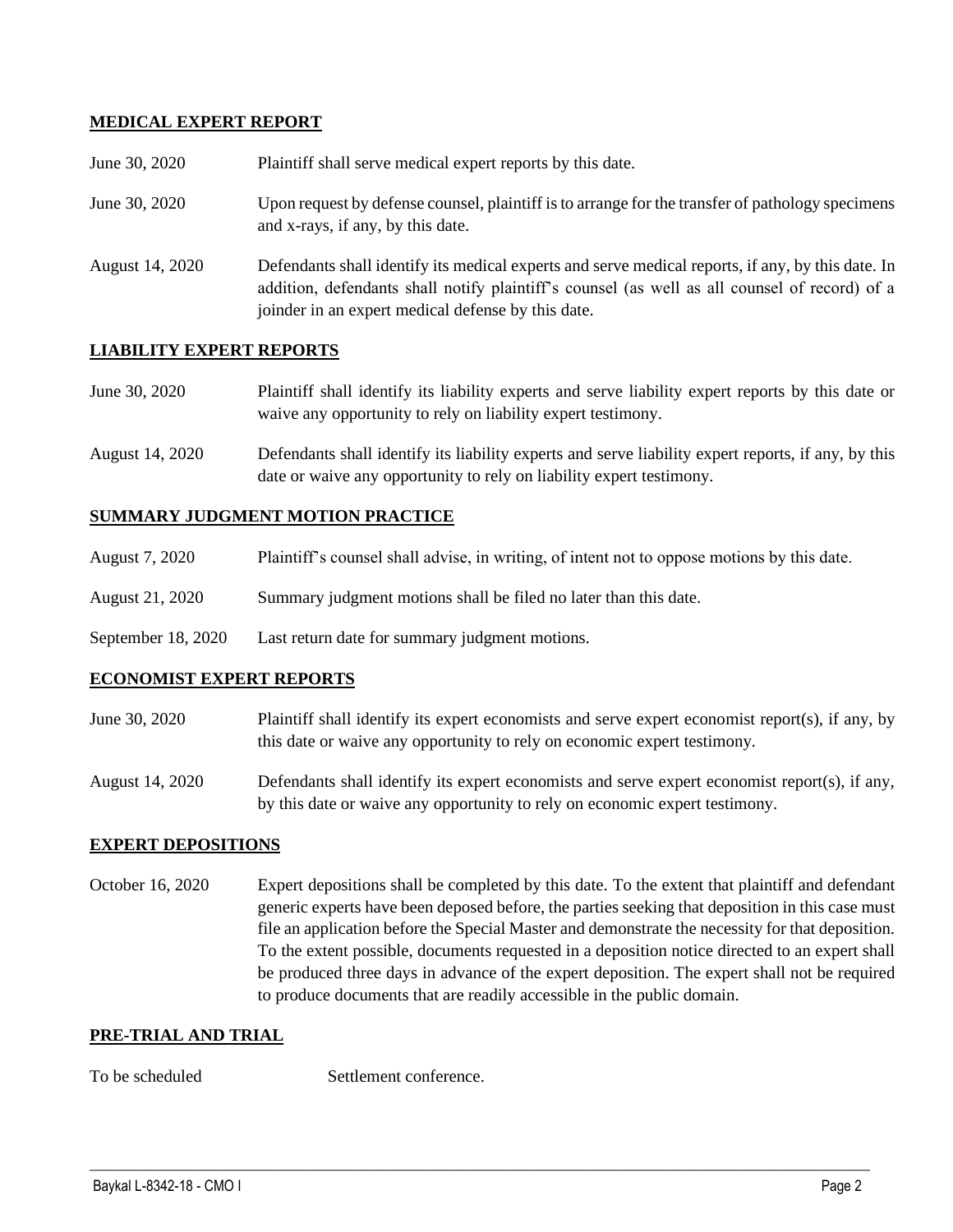## **MEDICAL EXPERT REPORT**

| June 30, 2020   | Plaintiff shall serve medical expert reports by this date.                                                                                                                                                                                               |
|-----------------|----------------------------------------------------------------------------------------------------------------------------------------------------------------------------------------------------------------------------------------------------------|
| June 30, 2020   | Upon request by defense counsel, plaintiff is to arrange for the transfer of pathology specimens<br>and x-rays, if any, by this date.                                                                                                                    |
| August 14, 2020 | Defendants shall identify its medical experts and serve medical reports, if any, by this date. In<br>addition, defendants shall notify plaintiff's counsel (as well as all counsel of record) of a<br>joinder in an expert medical defense by this date. |

## **LIABILITY EXPERT REPORTS**

| June 30, 2020 | Plaintiff shall identify its liability experts and serve liability expert reports by this date or |
|---------------|---------------------------------------------------------------------------------------------------|
|               | waive any opportunity to rely on liability expert testimony.                                      |

August 14, 2020 Defendants shall identify its liability experts and serve liability expert reports, if any, by this date or waive any opportunity to rely on liability expert testimony.

#### **SUMMARY JUDGMENT MOTION PRACTICE**

| August 7, 2020 | Plaintiff's counsel shall advise, in writing, of intent not to oppose motions by this date. |  |  |
|----------------|---------------------------------------------------------------------------------------------|--|--|
|                |                                                                                             |  |  |

- August 21, 2020 Summary judgment motions shall be filed no later than this date.
- September 18, 2020 Last return date for summary judgment motions.

## **ECONOMIST EXPERT REPORTS**

June 30, 2020 Plaintiff shall identify its expert economists and serve expert economist report(s), if any, by this date or waive any opportunity to rely on economic expert testimony.

August 14, 2020 Defendants shall identify its expert economists and serve expert economist report(s), if any, by this date or waive any opportunity to rely on economic expert testimony.

## **EXPERT DEPOSITIONS**

October 16, 2020 Expert depositions shall be completed by this date. To the extent that plaintiff and defendant generic experts have been deposed before, the parties seeking that deposition in this case must file an application before the Special Master and demonstrate the necessity for that deposition. To the extent possible, documents requested in a deposition notice directed to an expert shall be produced three days in advance of the expert deposition. The expert shall not be required to produce documents that are readily accessible in the public domain.

 $\_$  , and the set of the set of the set of the set of the set of the set of the set of the set of the set of the set of the set of the set of the set of the set of the set of the set of the set of the set of the set of th

## **PRE-TRIAL AND TRIAL**

To be scheduled Settlement conference.